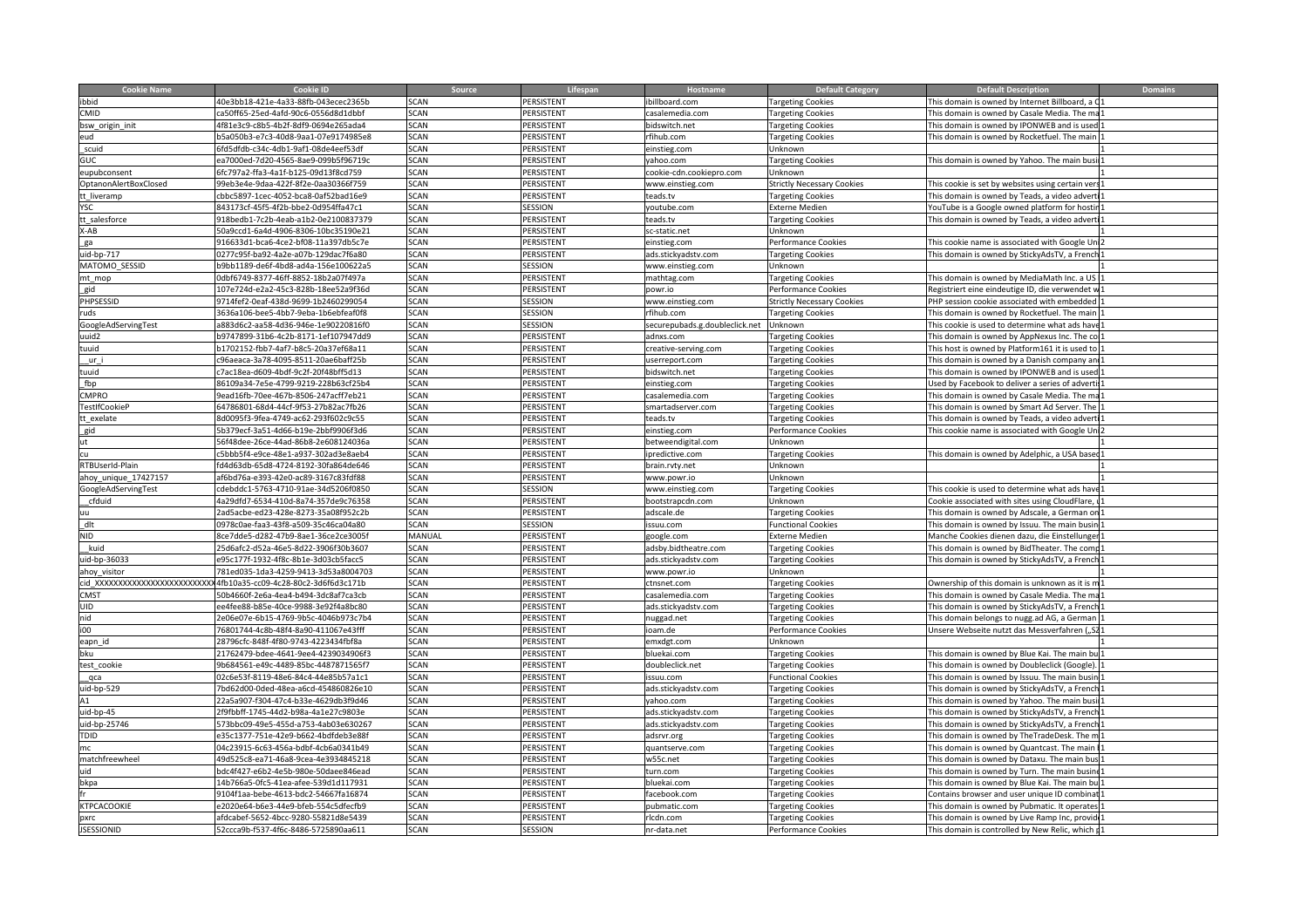| <b>Cookie Name</b>        |                                      |              |                         |                                    | <b>Default Category</b>                 |                                                 | <b>Domains</b> |
|---------------------------|--------------------------------------|--------------|-------------------------|------------------------------------|-----------------------------------------|-------------------------------------------------|----------------|
|                           | 0e3bb18-421e-4a33-88fb-043ecec2365b  | SCAN         | <b>RSISTENT</b>         | lboard.com                         | argeting Cookies                        | is domain is owned by Internet Billboard, a     |                |
|                           | 50ff65-25ed-4afd-90c6-0556d8d1dbbf   | <b>SCAN</b>  | <b><i>ERSISTENT</i></b> | Jemedia com                        | argeting Cookies                        | is domain is owned by Casale Media. The m       |                |
| osw_origin_init           | 1f81e3c9-c8b5-4b2f-8df9-0694e265ada4 | <b>SCAN</b>  | <b>FRSISTENT</b>        | idswitch net                       | argeting Cookies                        | his domain is owned by IPONWEB and is used      |                |
|                           | 5a050b3-e7c3-40d8-9aa1-07e9174985e8  | <b>SCAN</b>  | ERSISTENT               | fihub.com                          | <b>Targeting Cookies</b>                | his domain is owned by Rocketfuel. The main     |                |
|                           | ifd5dfdb-c34c-4db1-9af1-08de4eef53df | SCAN         | <b>PERSISTENT</b>       | instieg.com                        | Jnknown                                 |                                                 |                |
|                           | 7000ed-7d20-4565-8ae9-099b5f96719c   | SCAN         | <b>PERSISTENT</b>       | ahoo.com                           | argeting Cookies                        | his domain is owned by Yahoo. The main busi     |                |
| eupubconsent              | c797a2-ffa3-4a1f-b125-09d13f8cd759   |              | RSISTENT                | ookie-cdn.cookiepro.con            | nknown                                  |                                                 |                |
| OptanonAlertBoxClosed     | 9eb3e4e-9daa-422f-8f2e-0aa30366f759  |              | <b>SISTENT</b>          | ww.einstieg.com                    | rictly Necessary Cookies:               | s cookie is set by websites using certain ve    |                |
| t_liveramp                | bc5897-1cec-4052-bca8-0af52bad16e9   |              | <b>ERSISTENT</b>        | ads.tv                             | argeting Cookies                        | is domain is owned by Teads, a video adv        |                |
|                           | 13173cf-45f5-4f2b-bbe2-0d954ffa47c1  |              | SSION                   | outube.com                         | xterne Medien                           | uTube is a Google owned platform for hos        |                |
| tt_salesforce             | 918bedb1-7c2b-4eab-a1b2-0e2100837379 | SCAN         | <b>PERSISTENT</b>       | eads.tv:                           | <b>Targeting Cookies</b>                | his domain is owned by Teads, a video advert    |                |
| $A-A$                     | 0a9ccd1-6a4d-4906-8306-10bc35190e21  | SCAN         | PERSISTENT              | r-static net                       | <b>Unknown</b>                          |                                                 |                |
|                           | 16633d1-bca6-4ce2-bf08-11a397db5c7e  | <b>SCAN</b>  | <b>PERSISTENT</b>       | instieg.com                        | Performance Cookies                     | his cookie name is associated with Google Ur    |                |
| uid-bp-717                | 77c95f-ba92-4a2e-a07b-129dac7f6a80   | SCAN         | ERSISTENT               | ds.stickyadstv.com                 | argeting Cookies                        | is domain is owned by StickyAdsTV, a Frencl     |                |
| MATOMO_SESSID             | bbb1189-de6f-4bd8-ad4a-156e100622a5  | SCAN         | :SSION                  | www.einstieg.com                   | Unknown                                 |                                                 |                |
| nt_mop                    | dbf6749-8377-46ff-8852-18b2a07f497a  | SCAN         | ERSISTENT               | athtag.com                         | Targeting Cookies                       | his domain is owned by MediaMath Inc. a US      |                |
|                           | 7e724d-e2a2-45c3-828b-18ee52a9f36d   |              | RSISTENT                | oi.nwoc                            | erformance Cookies                      | egistriert eine eindeutige ID, die verwendet    |                |
| _gia<br>PHPSESSID         | 4fef2-0eaf-438d-9699-1b2460299054    |              | SION                    | ww.einstieg.com                    | trictly Necessary Cookies               | IP session cookie associated with embed         |                |
|                           | 36a106-bee5-4bb7-9eba-1b6ebfeaf0f8   | ≘∆N          | יכוטא                   | ihuh com                           | argeting Cookies                        | is domain is owned by Rocketfuel. The main      |                |
| GoogleAdServingTest       | 883d6c2-aa58-4d36-946e-1e90220816f0  |              | SION                    | curepubads.g.doubleclick.net       | Unknown                                 | cookie is used to determine what ads hav        |                |
|                           | 9747899-31b6-4c2b-8171-1ef107947dd9  | <b>SCAN</b>  | <b>FRSISTENT</b>        | adnxs.com                          | argeting Cookies                        | is domain is owned by AppNexus Inc. The co      |                |
|                           | 1702152-fbb7-4af7-b8c5-20a37ef68a11  |              | RSISTENT                | reative-serving.com                | argeting Cookies                        | is host is owned by Platform161 it is used to   |                |
|                           | :96aeaca-3a78-4095-8511-20ae6baff25b | SCAN         | <b>ERSISTENT</b>        | serreport.com                      | <b>Targeting Cookies</b>                | nis domain is owned by a Danish company and     |                |
|                           | :7ac18ea-d609-4bdf-9c2f-20f48bff5d13 | SCAN         | <b>PERSISTENT</b>       | idswitch.net                       |                                         | nis domain is owned by IPONWEB and is used      |                |
|                           | 109a34-7e5e-4799-9219-228b63cf25b4   | <b>SCAN</b>  | <b>RSISTENT</b>         |                                    | <b>Targeting Cookies</b>                | Ised by Facebook to deliver a series of adver   |                |
| CMPRO                     | ad16fb-70ee-467b-8506-247acff7eb21   |              | RSISTENT                | nstieg.com<br>alemedia.com         | Targeting Cookies                       | domain is owned by Casale Media. The ma         |                |
| <b>TestIfCookieP</b>      | 4786801-68d4-44cf-9f53-27b82ac7fb26  | <b>SCAN</b>  | <b>PERSISTENT</b>       | martadserver.com                   | <b>Targeting Cookies</b>                | is domain is owned by Smart Ad Server. The      |                |
|                           | d0095f3-9fea-4749-ac62-293f602c9c55  | <b>SCAN</b>  | ERSISTENT               | vt zhre                            | <b>Targeting Cookies</b>                | his domain is owned by Teads, a video adverti   |                |
| tt_exelate                | 0379ecf-3a51-4d66-b19e-2bbf9906f3d6  | <b>SCAN</b>  | ERSISTENT               |                                    | argeting Cookies<br>Performance Cookies | his cookie name is associated with Google Un    |                |
|                           |                                      |              | <b>ERSISTENT</b>        | instieg.com                        |                                         |                                                 |                |
|                           | if48dee-26ce-44ad-86b8-2e608124036a  | SCAN<br>SCAN | <b>RSISTENT</b>         | etweendigital.com<br>redictive.com | Unknown                                 |                                                 |                |
|                           | bbb5f4-e9ce-48e1-a937-302ad3e8aeb4   |              |                         |                                    | argeting Cookies                        | nis domain is owned by Adelphic, a USA base     |                |
| RTBUserId-Plain           | 4d63db-65d8-4724-8192-30fa864de646   |              | SISTENT                 | rain.rvty.net                      | Inknown                                 |                                                 |                |
| ahoy_unique_1742715       | f6bd76a-e393-42e0-ac89-3167c83fdf88  |              | <b>RSISTENT</b>         | ww.powr.io                         | Inknown                                 |                                                 |                |
| GoogleAdServingTest       | lebddc1-5763-4710-91ae-34d5206f0850  |              | sion                    | ww.einstieg.com                    | argeting Cookies                        | is cookie is used to determine what ads hav     |                |
| cfduid                    | a29dfd7-6534-410d-8a74-357de9c76358  | SCAN         | ERSISTENT               | ootstrapcdn.com                    | Jnknown                                 | cookie associated with sites using CloudFlare,  |                |
|                           | ad5acbe-ed23-428e-8273-35a08f952c2b  | SCAN         | PERSISTENT              | adscale.de                         | <b>Targeting Cookies</b>                | his domain is owned by Adscale, a German on     |                |
|                           | 0978c0ae-faa3-43f8-a509-35c46ca04a80 | SCAN         | <b>SESSION</b>          | $\sum_{i=1}^{n}$                   | <b>Functional Cookies</b>               | his domain is owned by Issuu. The main busin    |                |
|                           | ce7dde5-d282-47b9-8ae1-36ce2ce3005f  | MANUAL       | <b>ERSISTENT</b>        | zoogle.com                         | xterne Medien                           | lanche Cookies dienen dazu, die Einstellur      |                |
| kuid                      | 5d6afc2-d52a-46e5-8d22-3906f30b3607  | SCAN         | <b>PERSISTENT</b>       | adsby.bidtheatre.com               | argeting Cookies                        | is domain is owned by BidTheater. The cor       |                |
| <u>uid-bp-36033</u>       | 35c177f-1932-4f8c-8b1e-3d03cb5facc5  | <b>SCAN</b>  | <u>ERSISTENT</u>        | ds.stickyadstv.com                 | Targeting Cookies                       | is domain is owned by StickyAdsTV, a Frer       |                |
| ahoy_visitor_             | 31ed035-1da3-4259-9413-3d53a8004703  | SCAN         | RSISTENT                | www.powr.io                        | Unknown                                 |                                                 |                |
| id XXXXXXXXXXXXXXX        | b10a35-cc09-4c28-80c2-3d6f6d3c171b   |              | RSISTENT                | nsnet.com                          | Targeting Cookies                       | Whership of this domain is unknown as it is     |                |
|                           | b4660f-2e6a-4ea4-b494-3dc8af7ca3cb   |              | <b>RSISTENT</b>         | salemedia.com                      | <b>Targeting Cookies</b>                | s domain is owned by Casale Media. The m        |                |
|                           | 4fee88-b85e-40ce-9988-3e92f4a8bc80   |              | <b>SISTENT</b>          | ds.stickvadstv.com                 | <b>Targeting Cookies</b>                | s domain is owned by StickyAdsTV, a Frencl      |                |
|                           | e06e07e-6b15-4769-9b5c-4046b973c7b4  | SCAN         | <b>ERSISTENT</b>        | huggad.net                         | <b>Targeting Cookies</b>                | nis domain belongs to nugg.ad AG, a German      |                |
|                           | 76801744-4c8b-48f4-8a90-411067e43fff | CAN.         | <b>ERSISTENT</b>        | am.de                              | erformance Cookies                      | Insere Webseite nutzt das Messverfahren         |                |
| eapn_id                   | 28796cfc-848f-4f80-9743-4223434fbf8a | SCAN         | <b>PERSISTENT</b>       | emxdet.com                         | <b>Unknown</b>                          |                                                 |                |
|                           | 1762479-bdee-4641-9ee4-4239034906f3  | SCAN         | ERSISTENT               | oluekai.com                        | <b>Targeting Cookies</b>                | nis domain is owned by Blue Kai. The main bu    |                |
| test_cookie               | h684561-e49c-4489-85hc-4487871565f7  | <b>SCAN</b>  | <b>FRSISTENT</b>        | ubleclick.net                      | <b>Targeting Cookies</b>                | s domain is owned by Doubleclick (Google). 1    |                |
|                           | c6e53f-8119-48e6-84c4-44e85b57a1c    |              | RSISTENT                | IU.COM                             | unctional Cookies                       | domain is owned by Issuu. The main busi         |                |
| __qca<br>uid-bp-529       | bd62d00-0ded-48ea-a6cd-454860826e10  | SCAN         | <b>FRSISTENT</b>        | ds.stickvadstv.com                 | argeting Cookies                        | is domain is owned by StickyAdsTV, a French     |                |
|                           | 2a5a907-f304-47c4-b33e-4629db3f9d46  | <b>SCAN</b>  | <b>FRSISTENT</b>        | ahoo.com/                          |                                         | his domain is owned by Yahoo. The main busi     |                |
|                           | f9fbbff-1745-44d2-b98a-4a1e27c9803e  | SCAN         | <b>FRSISTENT</b>        | ads stickvadstv com                | argeting Cookies                        | his domain is owned by StickyAdsTV, a French    |                |
| id-bp-45                  | 3bbc09-49e5-455d-a753-4ab03e630267   | SCAN         | ERSISTENT               | ads.stickyadstv.com                | <b>Targeting Cookies</b>                | is domain is owned by StickyAdsTV, a Frencl     |                |
| id-bp-25746               |                                      | SCAN         |                         |                                    | <b>Targeting Cookies</b>                |                                                 |                |
|                           | 35c1377-751e-42e9-b662-4bdfdeb3e88f  |              | ERSISTENT               | dsrvr.org                          | <b>Targeting Cookies</b>                | is domain is owned by TheTradeDesk. The n       |                |
|                           | Ic23915-6c63-456a-bdbf-4cb6a0341b49  |              | RSISTENT                | uantserve.com                      | <b>Targeting Cookies</b>                | s domain is owned by Quantcast. The main        |                |
| natchfreewheel            | 9d525c8-ea71-46a8-9cea-4e3934845218  |              | <b>SISTENT</b>          | 55c.net                            | <b>Targeting Cookies</b>                | s domain is owned by Dataxu. The main b         |                |
|                           | lc4f427-e6b2-4e5b-980e-50daee846ead  |              | <b>ERSISTENT</b>        | ırn.com                            | <b>Targeting Cookies</b>                | s domain is owned by Turn. The main bus         |                |
|                           | Ib766a5-0fc5-41ea-afee-539d1d117931  | SCAN         | <b>RSISTENT</b>         | luekai com                         | <b>Targeting Cookies</b>                | is domain is owned by Blue Kai. The main bu     |                |
|                           | 04f1aa-bebe-4613-bdc2-54667fa16874   | SCAN         | <b>ERSISTENT</b>        | acebook.com                        | <b>Targeting Cookies</b>                | ontains browser and user unique ID combir       |                |
| <b><i>CTPCACOOKIE</i></b> | 020e64-b6e3-44e9-bfeb-554c5dfecfb9   | <b>SCAN</b>  | PERSISTENT              | uhmatic com                        | argeting Cookies                        | is domain is owned by Pubmatic. It operate      |                |
| <u>oxro</u>               | fdcabef-5652-4bcc-9280-55821d8e5439  | SCAN         | <b>FRSISTENT</b>        | lcdn com:                          | <b>Targeting Cookies</b>                | his domain is owned by Live Ramp Inc. provic    |                |
| <b>SESSIONID</b>          | 2ccca9b-f537-4f6c-8486-5725890aa611  | <b>SCAN</b>  | ESSION                  | nr-data.net                        | <b>Performance Cookies</b>              | This domain is controlled by New Relic, which p |                |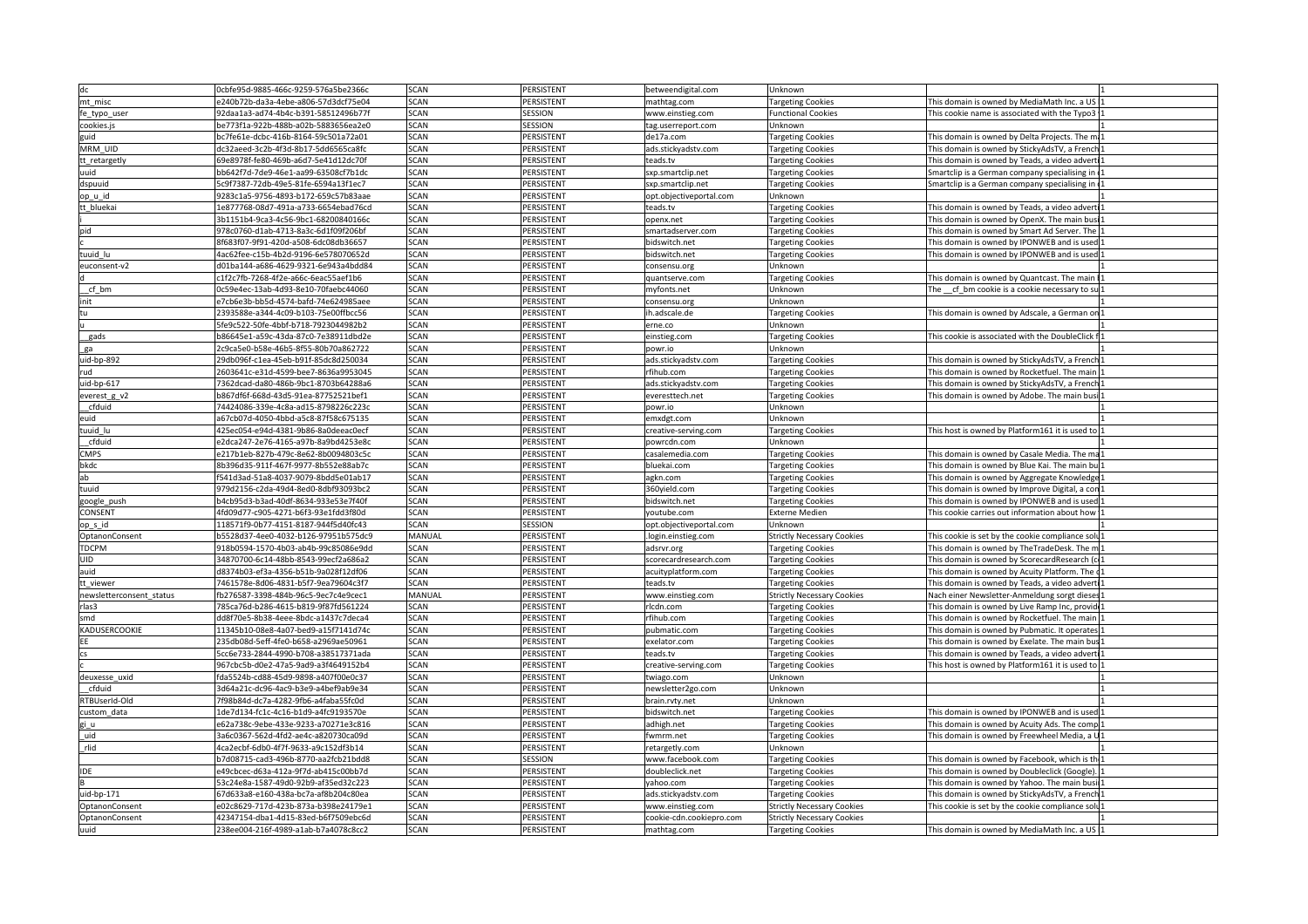|                         | cbfe95d-9885-466c-9259-576a5be2366c  | <b>SCAN</b> | PERSISTENT                             | etweendigital.com       | Unknown                                    |                                                   |
|-------------------------|--------------------------------------|-------------|----------------------------------------|-------------------------|--------------------------------------------|---------------------------------------------------|
| nt misc                 | 240b72b-da3a-4ebe-a806-57d3dcf75e04  |             | <b><i><u>PERSISTENT</u></i></b>        | athtag.com              | argeting Cookies                           | is domain is owned by MediaMath Inc. a US         |
| e_typo_user             | daa1a3-ad74-4b4c-b391-58512496b77f   |             | ESSION                                 | www.einstieg.com        | <b>Functional Cookies</b>                  | is cookie name is associated with the Typo3       |
| cookies.js              | e773f1a-922b-488b-a02b-5883656ea2e0  |             | SESSION                                | ag.userreport.com       | Unknown                                    |                                                   |
|                         | c7fe61e-dcbc-416b-8164-59c501a72a01  |             | PERSISTENT                             | e17a.com                | argeting Cookies                           | is domain is owned by Delta Projects. The ma      |
| MRM_UID                 | dc32aeed-3c2b-4f3d-8b17-5dd6565ca8fc | SCAN        | <b>PFRSISTENT</b>                      | ads stickvadstv com     | <b>Targeting Cookies</b>                   | his domain is owned by StickvAdsTV. a French 1    |
| t_retargetly            | 69e8978f-fe80-469b-a6d7-5e41d12dc70f | <b>SCAN</b> | PERSISTENT                             | teads.tv                | <b>Targeting Cookies</b>                   | his domain is owned by Teads, a video adverti 1   |
| hiut                    | bb642f7d-7de9-46e1-aa99-63508cf7b1dc | <b>SCAN</b> | <b><i>PERSISTENT</i></b>               | xp.smartclip.net        | <b>Targeting Cookies</b>                   | 3 martclip is a German company specialising in    |
| dspuuid                 | 5c9f7387-72db-49e5-81fe-6594a13f1ec7 | SCAN        | PERSISTENT                             | xp.smartclip.net        | Targeting Cookies                          | martclip is a German company specialising in 1    |
| <u>pp_u_id_</u>         | 9283c1a5-9756-4893-b172-659c57b83aae | SCAN        | PERSISTENT                             | pt.objectiveportal.com  | Unknown                                    |                                                   |
| t_bluekai               | 1e877768-08d7-491a-a733-6654ebad76cd | SCAN        | PERSISTENT                             | vt zhre                 | argeting Cookies                           | his domain is owned by Teads, a video adverti 1   |
|                         | 1151b4-9ca3-4c56-9bc1-68200840166c   | SCAN        | PERSISTENT                             | nenx.net                | Targeting Cookies                          | is domain is owned by OpenX. The main busi        |
|                         | 78c0760-d1ab-4713-8a3c-6d1f09f206bf  |             | PERSISTENT                             | nartadserver.com        | <b>Targeting Cookies</b>                   | is domain is owned by Smart Ad Server. The        |
|                         | f683f07-9f91-420d-a508-6dc08db36657  |             | PFRSISTENT                             | Iswitch.net             | <b>Targeting Cookies</b>                   | is domain is owned by IPONWEB and is used         |
| uuid_lu:                | ac62fee-c15b-4b2d-9196-6e578070652d  |             | <b>ERSISTENT</b>                       | dswitch.net             | argeting Cookies                           | is domain is owned by IPONWEB and is used         |
| euconsent-v2            | l01ba144-a686-4629-9321-6e943a4bdd84 | CAN         | PERSISTENT                             | nsensu.org              | Unknown                                    |                                                   |
|                         | 1f2c7fb-7268-4f2e-a66c-6eac55aef1b6  |             | PERSISTENT                             | antserve.com            |                                            | his domain is owned by Quantcast. The main        |
| cf hm                   | 0c59e4ec-13ab-4d93-8e10-70faebc44060 | <b>SCAN</b> | PERSISTENT                             | nvfonts net             | <b>Targeting Cookies</b><br><b>Unknown</b> | The cf bm cookie is a cookie necessary to su 1    |
|                         | 7cb6e3b-bb5d-4574-bafd-74e624985aee  | SCAN        | PERSISTENT                             | sensu.org               | Unknown                                    |                                                   |
|                         | 393588e-a344-4c09-b103-75e00ffbcc56  | <b>SCAN</b> | <b>PERSISTENT</b>                      | ah alsazhs r            |                                            |                                                   |
|                         |                                      |             |                                        |                         | argeting Cookies                           | This domain is owned by Adscale, a German on 1    |
|                         | fe9c522-50fe-4bbf-b718-7923044982b2  | <b>CAN</b>  | PERSISTENT<br><b><i>PERSISTENT</i></b> | erne.co                 | Unknown                                    |                                                   |
| gads                    | b86645e1-a59c-43da-87c0-7e38911dbd2e | SCAN        |                                        | instieg.com             | <b>Targeting Cookies</b>                   | his cookie is associated with the DoubleClick f11 |
|                         | :c9ca5e0-b58e-46b5-8f55-80b70a862722 |             | PERSISTENT                             | oi. nwc                 | Unknown                                    |                                                   |
| 1id-bp-892              | !9db096f-c1ea-45eb-b91f-85dc8d250034 | CAN G       | PERSISTENT                             | ads.stickyadstv.com     | Targeting Cookies                          | iis domain is owned by StickyAdsTV, a French 1    |
|                         | 603641c-e31d-4599-bee7-8636a9953045  | <b>SCAN</b> | PERSISTENT                             | fihub.com               | <b>Targeting Cookies</b>                   | is domain is owned by Rocketfuel. The main 1      |
| .id-bp-617              | 362dcad-da80-486b-9bc1-8703b64288a6  | <b>SCAN</b> | PERSISTENT                             | ads.stickyadstv.com     | <b>Targeting Cookies</b>                   | iis domain is owned by StickyAdsTV, a French1     |
| everest_g_v2            | b867df6f-668d-43d5-91ea-87752521bef1 | SCAN        | PERSISTENT                             | eresttech.net           | <b>Targeting Cookies</b>                   | his domain is owned by Adobe. The main busi 1     |
| cfduid                  | 74424086-339e-4c8a-ad15-8798226c223c | <b>SCAN</b> | PERSISTENT                             | oi.nwoc                 | Unknown                                    |                                                   |
| euid                    | a67cb07d-4050-4bbd-a5c8-87f58c675135 | SCAN        | PERSISTENT                             | nxdgt.com               | Unknown                                    |                                                   |
| uuid lu                 | 425ec054-e94d-4381-9b86-8a0deeac0ecf | SCAN        | PERSISTENT                             | creative-serving.com    | <b>Targeting Cookies</b>                   | This host is owned by Platform161 it is used to 1 |
| cfduid                  | 2dca247-2e76-4165-a97b-8a9bd4253e8c  | <b>SCAN</b> | <b>PERSISTENT</b>                      | oowrcdn.com             | Unknown                                    |                                                   |
| MPS                     | 217b1eb-827b-479c-8e62-8b0094803c5c  | :CAN        | PERSISTENT                             | salemedia.com           | argeting Cookies                           | is domain is owned by Casale Media. The ma        |
|                         | 396d35-911f-467f-9977-8b552e88ab7c   |             | <b>FRSISTENT</b>                       | uekai.com               | <b>Targeting Cookies</b>                   | is domain is owned by Blue Kai. The main bu       |
|                         | 541d3ad-51a8-4037-9079-8bdd5e01ab17  |             | <b>PERSISTENT</b>                      | kn.com                  | <b>Targeting Cookies</b>                   | iis domain is owned by Aggregate Knowledge        |
|                         | 79d2156-c2da-49d4-8ed0-8dbf93093bc2  |             | PERSISTENT                             | Oyield.com              |                                            | iis domain is owned by Improve Digital, a con     |
|                         | b4cb95d3-b3ad-40df-8634-933e53e7f40f | SCAN        | PERSISTENT                             | idswitch.net            | Targeting Cookies                          | This domain is owned by IPONWEB and is used 1     |
| google_push<br>CONSENT  | 4fd09d77-c905-4271-b6f3-93e1fdd3f80d | <b>SCAN</b> | PERSISTENT                             | outube.com              | Targeting Cookies<br><b>Externe Medien</b> | This cookie carries out information about how 1   |
|                         | 118571f9-0b77-4151-8187-944f5d40fc43 | <b>SCAN</b> | <b>SESSION</b>                         | opt.obiectiveportal.com | Unknown                                    |                                                   |
| p_s_id                  |                                      |             | PERSISTENT                             |                         |                                            |                                                   |
| OptanonConsent          | 5528d37-4ee0-4032-b126-97951b575dc9  | MANUAL      | <b><i>DERSISTENT</i></b>               | login.einstieg.com      | Strictly Necessary Cookies                 | is cookie is set by the cookie compliance solu 1  |
| <b>EDCPM</b>            | 918b0594-1570-4b03-ab4b-99c85086e9dd | <b>SCAN</b> |                                        | adsrvr.org              | <b>Targeting Cookies</b>                   | This domain is owned by TheTradeDesk. The m1      |
|                         | 34870700-6c14-48bb-8543-99ecf2a686a2 | <b>SCAN</b> | <b>PERSISTENT</b>                      | recardresearch.com      | <b>Targeting Cookies</b>                   | his domain is owned by ScorecardResearch (c) 1    |
|                         | 8374b03-ef3a-4356-b51b-9a028f12df06  | :CAN        | PERSISTENT                             | uityplatform.com        | <b>Targeting Cookies</b>                   | his domain is owned by Acuity Platform. The c1    |
| Lt_viewer               | 461578e-8d06-4831-b5f7-9ea79604c3f7  |             | PERSISTENT                             | ads.tv                  | <b>Targeting Cookies</b>                   | is domain is owned by Teads, a video adverti      |
| ewsletterconsent status | 276587-3398-484b-96c5-9ec7c4e9cec1   | 1ANUAL      | PFRSISTENT                             | ww.einstieg.com         | trictly Necessary Cookies                  | Vach einer Newsletter-Anmeldung sorgt dieses      |
|                         | 85ca76d-b286-4615-b819-9f87fd561224  |             | <b>ERSISTENT</b>                       | dn.com                  | argeting Cookies                           | is domain is owned by Live Ramp Inc, provid       |
|                         | ld8f70e5-8b38-4eee-8bdc-a1437c7deca4 | CAN         | PERSISTENT                             | fihub.com               | <b>Targeting Cookies</b>                   | is domain is owned by Rocketfuel. The main 1      |
| KADUSERCOOKIE           | .1345b10-08e8-4a07-bed9-a15f7141d74c | ነር AN       | PERSISTENT                             | ubmatic.com             | Targeting Cookies                          | iis domain is owned by Pubmatic. It operates      |
|                         | 35db08d-5eff-4fe0-b658-a2969ae50961  | SCAN        | PERSISTENT                             | exelator.com            | <b>Targeting Cookies</b>                   | This domain is owned by Exelate. The main bus 1   |
|                         | cc6e733-2844-4990-b708-a38517371ada  | <b>SCAN</b> | <b>PERSISTENT</b>                      | teads.tv                | <b>Targeting Cookies</b>                   | his domain is owned by Teads, a video adverti 1   |
|                         | 967cbc5b-d0e2-47a5-9ad9-a3f4649152b4 | SCAN        | <b>PERSISTENT</b>                      | reative-serving.com     | <b>Targeting Cookies</b>                   | This host is owned by Platform161 it is used to 1 |
| hixu essexua            | 5524b-cd88-45d9-9898-a407f00e0c37    | <b>CAN</b>  | PERSISTENT                             | viago.com               | Unknown                                    |                                                   |
| cfduid                  | 3d64a21c-dc96-4ac9-b3e9-a4bef9ab9e34 | <b>SCAN</b> | <b><i>PERSISTENT</i></b>               | ewsletter2go.com        | Unknown                                    |                                                   |
| <b>RTBUserId-Old</b>    | f98b84d-dc7a-4282-9fb6-a4faba55fc0d  |             | <b><i><u>PERSISTENT</u></i></b>        | ain.rvty.net            | Unknown                                    |                                                   |
| ∵ <u>ustom_d</u> ata    | .de7d134-fc1c-4c16-b1d9-a4fc9193570e | CAN         | PERSISTENT                             | dswitch.net             |                                            | is domain is owned by IPONWEB and is used         |
|                         | 62a738c-9ebe-433e-9233-a70271e3c816  | SCAN        | PERSISTENT                             |                         | argeting Cookies                           | is domain is owned by Acuity Ads. The comp 1      |
|                         |                                      | CAN:        | PERSISTENT                             | dhigh.net               | <b>Targeting Cookies</b>                   |                                                   |
|                         | a6c0367-562d-4fd2-ae4c-a820730ca09d  |             |                                        | wmrm.net                | argeting Cookies                           | his domain is owned by Freewheel Media, a U       |
|                         | 4ca2ecbf-6db0-4f7f-9633-a9c152df3b14 | CAN         | PERSISTENT                             | etargetly.com           | Unknown                                    |                                                   |
|                         | b7d08715-cad3-496b-8770-aa2fcb21bdd8 | <b>SCAN</b> | SESSION                                | www.facebook.com        | <b>Targeting Cookies</b>                   | his domain is owned by Facebook, which is the 1   |
|                         | e49cbcec-d63a-412a-9f7d-ab415c00bb7d | SCAN        | <b>PERSISTENT</b>                      | oubleclick.net          | <b>Targeting Cookies</b>                   | his domain is owned by Doubleclick (Google). 1    |
|                         | 3c24e8a-1587-49d0-92b9-af35ed32c223  | <b>SCAN</b> | PERSISTENT                             | vahoo.com               | Targeting Cookies                          | This domain is owned by Yahoo. The main busil 1   |
| uid-bp-171              | 7d633a8-e160-438a-bc7a-af8b204c80ea  | SCAN        | <b><i><u>PERSISTENT</u></i></b>        | ads.stickvadstv.com     | <b>Targeting Cookies</b>                   | This domain is owned by StickyAdsTV, a French1    |
| OptanonConsent          | 02c8629-717d-423b-873a-b398e24179e1  |             | PERSISTENT                             | www.einstieg.com        | trictly Necessary Cookies                  | iis cookie is set by the cookie compliance solu 1 |
| OptanonConsent          | 347154-dba1-4d15-83ed-b6f7509ebc6d   |             | <b>FRSISTENT</b>                       | ookie-cdn.cookiepro.com | rictly Necessary Cookies                   |                                                   |
|                         | 38ee004-216f-4989-a1ab-b7a4078c8cc2  | <b>CAN</b>  | PERSISTENT                             | athtag.com              | argeting Cookies                           | iis domain is owned by MediaMath Inc. a US        |
|                         |                                      |             |                                        |                         |                                            |                                                   |